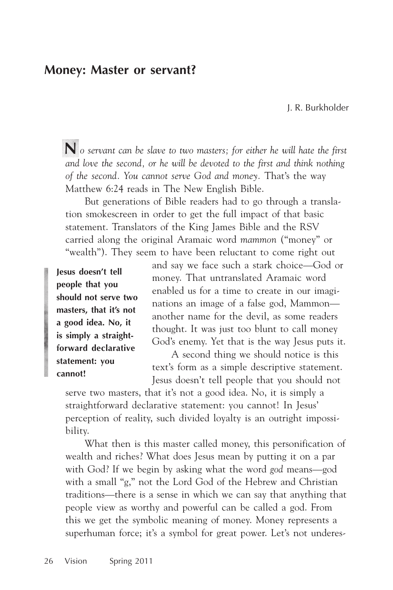# **Money: Master or servant?**

J. R. Burkholder

**N** *o servant can be slave to two masters; for either he will hate the first and love the second, or he will be devoted to the first and think nothing of the second. You cannot serve God and money.* That's the way Matthew 6:24 reads in The New English Bible.

But generations of Bible readers had to go through a translation smokescreen in order to get the full impact of that basic statement. Translators of the King James Bible and the RSV carried along the original Aramaic word *mammon* ("money" or "wealth"). They seem to have been reluctant to come right out

**Jesus doesn't tell people that you should not serve two masters, that it's not a good idea. No, it is simply a straightforward declarative statement: you cannot!**

and say we face such a stark choice—God or money. That untranslated Aramaic word enabled us for a time to create in our imaginations an image of a false god, Mammon another name for the devil, as some readers thought. It was just too blunt to call money God's enemy. Yet that is the way Jesus puts it.

A second thing we should notice is this text's form as a simple descriptive statement. Jesus doesn't tell people that you should not

serve two masters, that it's not a good idea. No, it is simply a straightforward declarative statement: you cannot! In Jesus' perception of reality, such divided loyalty is an outright impossibility.

What then is this master called money, this personification of wealth and riches? What does Jesus mean by putting it on a par with God? If we begin by asking what the word *god* means—god with a small "g," not the Lord God of the Hebrew and Christian traditions—there is a sense in which we can say that anything that people view as worthy and powerful can be called a god. From this we get the symbolic meaning of money. Money represents a superhuman force; it's a symbol for great power. Let's not underes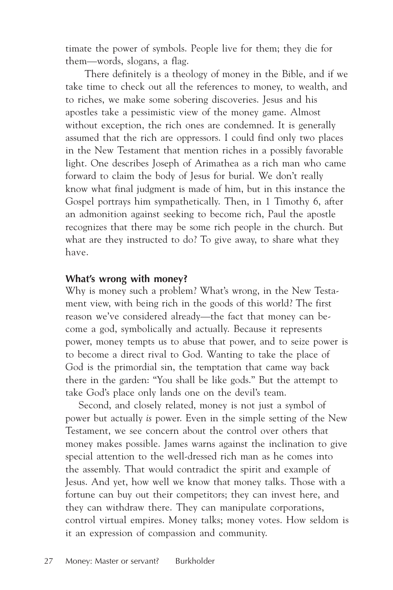timate the power of symbols. People live for them; they die for them—words, slogans, a flag.

There definitely is a theology of money in the Bible, and if we take time to check out all the references to money, to wealth, and to riches, we make some sobering discoveries. Jesus and his apostles take a pessimistic view of the money game. Almost without exception, the rich ones are condemned. It is generally assumed that the rich are oppressors. I could find only two places in the New Testament that mention riches in a possibly favorable light. One describes Joseph of Arimathea as a rich man who came forward to claim the body of Jesus for burial. We don't really know what final judgment is made of him, but in this instance the Gospel portrays him sympathetically. Then, in 1 Timothy 6, after an admonition against seeking to become rich, Paul the apostle recognizes that there may be some rich people in the church. But what are they instructed to do? To give away, to share what they have.

## **What's wrong with money?**

Why is money such a problem? What's wrong, in the New Testament view, with being rich in the goods of this world? The first reason we've considered already—the fact that money can become a god, symbolically and actually. Because it represents power, money tempts us to abuse that power, and to seize power is to become a direct rival to God. Wanting to take the place of God is the primordial sin, the temptation that came way back there in the garden: "You shall be like gods." But the attempt to take God's place only lands one on the devil's team.

Second, and closely related, money is not just a symbol of power but actually *is* power. Even in the simple setting of the New Testament, we see concern about the control over others that money makes possible. James warns against the inclination to give special attention to the well-dressed rich man as he comes into the assembly. That would contradict the spirit and example of Jesus. And yet, how well we know that money talks. Those with a fortune can buy out their competitors; they can invest here, and they can withdraw there. They can manipulate corporations, control virtual empires. Money talks; money votes. How seldom is it an expression of compassion and community.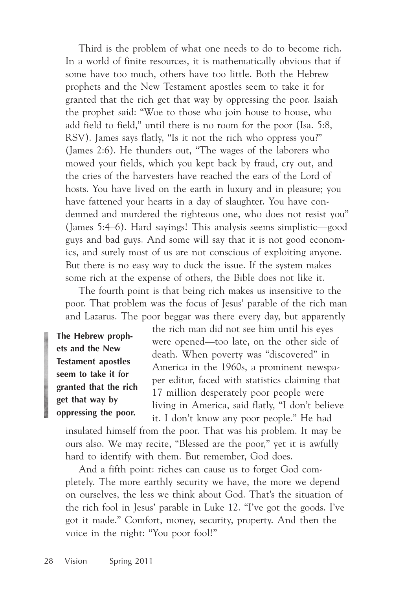Third is the problem of what one needs to do to become rich. In a world of finite resources, it is mathematically obvious that if some have too much, others have too little. Both the Hebrew prophets and the New Testament apostles seem to take it for granted that the rich get that way by oppressing the poor. Isaiah the prophet said: "Woe to those who join house to house, who add field to field," until there is no room for the poor (Isa. 5:8, RSV). James says flatly, "Is it not the rich who oppress you?" (James 2:6). He thunders out, "The wages of the laborers who mowed your fields, which you kept back by fraud, cry out, and the cries of the harvesters have reached the ears of the Lord of hosts. You have lived on the earth in luxury and in pleasure; you have fattened your hearts in a day of slaughter. You have condemned and murdered the righteous one, who does not resist you" (James 5:4–6). Hard sayings! This analysis seems simplistic—good guys and bad guys. And some will say that it is not good economics, and surely most of us are not conscious of exploiting anyone. But there is no easy way to duck the issue. If the system makes some rich at the expense of others, the Bible does not like it.

The fourth point is that being rich makes us insensitive to the poor. That problem was the focus of Jesus' parable of the rich man and Lazarus. The poor beggar was there every day, but apparently

**The Hebrew prophets and the New Testament apostles seem to take it for granted that the rich get that way by oppressing the poor.**

the rich man did not see him until his eyes were opened—too late, on the other side of death. When poverty was "discovered" in America in the 1960s, a prominent newspaper editor, faced with statistics claiming that 17 million desperately poor people were living in America, said flatly, "I don't believe it. I don't know any poor people." He had

insulated himself from the poor. That was his problem. It may be ours also. We may recite, "Blessed are the poor," yet it is awfully hard to identify with them. But remember, God does.

And a fifth point: riches can cause us to forget God completely. The more earthly security we have, the more we depend on ourselves, the less we think about God. That's the situation of the rich fool in Jesus' parable in Luke 12. "I've got the goods. I've got it made." Comfort, money, security, property. And then the voice in the night: "You poor fool!"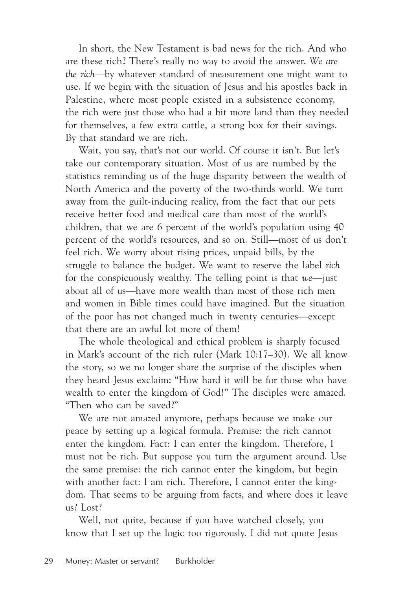In short, the New Testament is bad news for the rich. And who are these rich? There's really no way to avoid the answer. *We are the rich*—by whatever standard of measurement one might want to use. If we begin with the situation of Jesus and his apostles back in Palestine, where most people existed in a subsistence economy, the rich were just those who had a bit more land than they needed for themselves, a few extra cattle, a strong box for their savings. By that standard we are rich.

Wait, you say, that's not our world. Of course it isn't. But let's take our contemporary situation. Most of us are numbed by the statistics reminding us of the huge disparity between the wealth of North America and the poverty of the two-thirds world. We turn away from the guilt-inducing reality, from the fact that our pets receive better food and medical care than most of the world's children, that we are 6 percent of the world's population using 40 percent of the world's resources, and so on. Still—most of us don't feel rich. We worry about rising prices, unpaid bills, by the struggle to balance the budget. We want to reserve the label *rich* for the conspicuously wealthy. The telling point is that *we*—just about all of us—have more wealth than most of those rich men and women in Bible times could have imagined. But the situation of the poor has not changed much in twenty centuries—except that there are an awful lot more of them!

The whole theological and ethical problem is sharply focused in Mark's account of the rich ruler (Mark 10:17–30). We all know the story, so we no longer share the surprise of the disciples when they heard Jesus exclaim: "How hard it will be for those who have wealth to enter the kingdom of God!" The disciples were amazed. "Then who can be saved?"

We are not amazed anymore, perhaps because we make our peace by setting up a logical formula. Premise: the rich cannot enter the kingdom. Fact: I can enter the kingdom. Therefore, I must not be rich. But suppose you turn the argument around. Use the same premise: the rich cannot enter the kingdom, but begin with another fact: I am rich. Therefore, I cannot enter the kingdom. That seems to be arguing from facts, and where does it leave us? Lost?

Well, not quite, because if you have watched closely, you know that I set up the logic too rigorously. I did not quote Jesus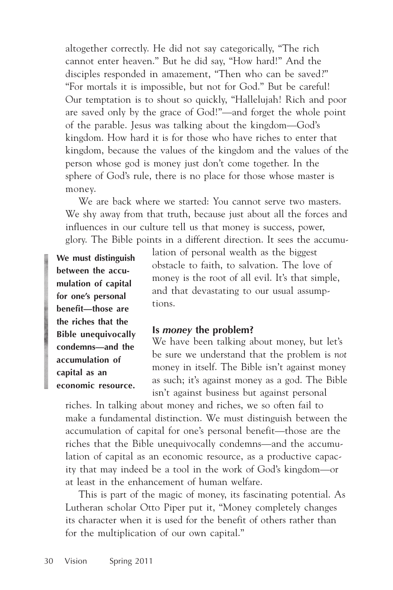altogether correctly. He did not say categorically, "The rich cannot enter heaven." But he did say, "How hard!" And the disciples responded in amazement, "Then who can be saved?" "For mortals it is impossible, but not for God." But be careful! Our temptation is to shout so quickly, "Hallelujah! Rich and poor are saved only by the grace of God!"—and forget the whole point of the parable. Jesus was talking about the kingdom—God's kingdom. How hard it is for those who have riches to enter that kingdom, because the values of the kingdom and the values of the person whose god is money just don't come together. In the sphere of God's rule, there is no place for those whose master is money.

We are back where we started: You cannot serve two masters. We shy away from that truth, because just about all the forces and influences in our culture tell us that money is success, power, glory. The Bible points in a different direction. It sees the accumu-

**We must distinguish between the accumulation of capital for one's personal benefit—those are the riches that the Bible unequivocally condemns—and the accumulation of capital as an economic resource.** lation of personal wealth as the biggest obstacle to faith, to salvation. The love of money is the root of all evil. It's that simple, and that devastating to our usual assumptions.

#### **Is** *money* **the problem?**

We have been talking about money, but let's be sure we understand that the problem is *not* money in itself. The Bible isn't against money as such; it's against money as a god. The Bible isn't against business but against personal

riches. In talking about money and riches, we so often fail to make a fundamental distinction. We must distinguish between the accumulation of capital for one's personal benefit—those are the riches that the Bible unequivocally condemns—and the accumulation of capital as an economic resource, as a productive capacity that may indeed be a tool in the work of God's kingdom—or at least in the enhancement of human welfare.

This is part of the magic of money, its fascinating potential. As Lutheran scholar Otto Piper put it, "Money completely changes its character when it is used for the benefit of others rather than for the multiplication of our own capital."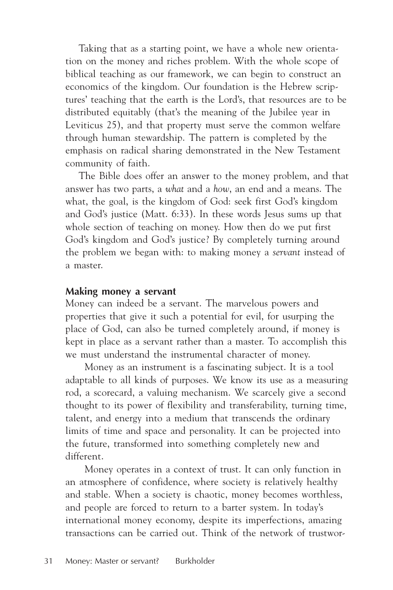Taking that as a starting point, we have a whole new orientation on the money and riches problem. With the whole scope of biblical teaching as our framework, we can begin to construct an economics of the kingdom. Our foundation is the Hebrew scriptures' teaching that the earth is the Lord's, that resources are to be distributed equitably (that's the meaning of the Jubilee year in Leviticus 25), and that property must serve the common welfare through human stewardship. The pattern is completed by the emphasis on radical sharing demonstrated in the New Testament community of faith.

The Bible does offer an answer to the money problem, and that answer has two parts, a *what* and a *how*, an end and a means. The what, the goal, is the kingdom of God: seek first God's kingdom and God's justice (Matt. 6:33). In these words Jesus sums up that whole section of teaching on money. How then do we put first God's kingdom and God's justice? By completely turning around the problem we began with: to making money a *servant* instead of a master.

## **Making money a servant**

Money can indeed be a servant. The marvelous powers and properties that give it such a potential for evil, for usurping the place of God, can also be turned completely around, if money is kept in place as a servant rather than a master. To accomplish this we must understand the instrumental character of money.

Money as an instrument is a fascinating subject. It is a tool adaptable to all kinds of purposes. We know its use as a measuring rod, a scorecard, a valuing mechanism. We scarcely give a second thought to its power of flexibility and transferability, turning time, talent, and energy into a medium that transcends the ordinary limits of time and space and personality. It can be projected into the future, transformed into something completely new and different.

Money operates in a context of trust. It can only function in an atmosphere of confidence, where society is relatively healthy and stable. When a society is chaotic, money becomes worthless, and people are forced to return to a barter system. In today's international money economy, despite its imperfections, amazing transactions can be carried out. Think of the network of trustwor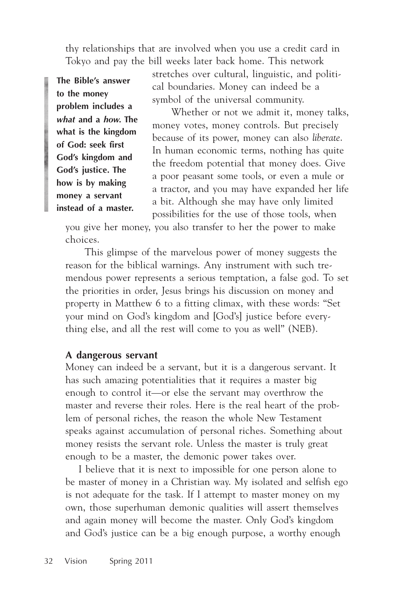thy relationships that are involved when you use a credit card in Tokyo and pay the bill weeks later back home. This network

**The Bible's answer to the money problem includes a** *what* **and a** *how.* **The what is the kingdom of God: seek first God's kingdom and God's justice. The how is by making money a servant instead of a master.**

stretches over cultural, linguistic, and political boundaries. Money can indeed be a symbol of the universal community.

Whether or not we admit it, money talks, money votes, money controls. But precisely because of its power, money can also *liberate*. In human economic terms, nothing has quite the freedom potential that money does. Give a poor peasant some tools, or even a mule or a tractor, and you may have expanded her life a bit. Although she may have only limited possibilities for the use of those tools, when

you give her money, you also transfer to her the power to make choices.

This glimpse of the marvelous power of money suggests the reason for the biblical warnings. Any instrument with such tremendous power represents a serious temptation, a false god. To set the priorities in order, Jesus brings his discussion on money and property in Matthew 6 to a fitting climax, with these words: "Set your mind on God's kingdom and [God's] justice before everything else, and all the rest will come to you as well" (NEB).

#### **A dangerous servant**

Money can indeed be a servant, but it is a dangerous servant. It has such amazing potentialities that it requires a master big enough to control it—or else the servant may overthrow the master and reverse their roles. Here is the real heart of the problem of personal riches, the reason the whole New Testament speaks against accumulation of personal riches. Something about money resists the servant role. Unless the master is truly great enough to be a master, the demonic power takes over.

I believe that it is next to impossible for one person alone to be master of money in a Christian way. My isolated and selfish ego is not adequate for the task. If I attempt to master money on my own, those superhuman demonic qualities will assert themselves and again money will become the master. Only God's kingdom and God's justice can be a big enough purpose, a worthy enough